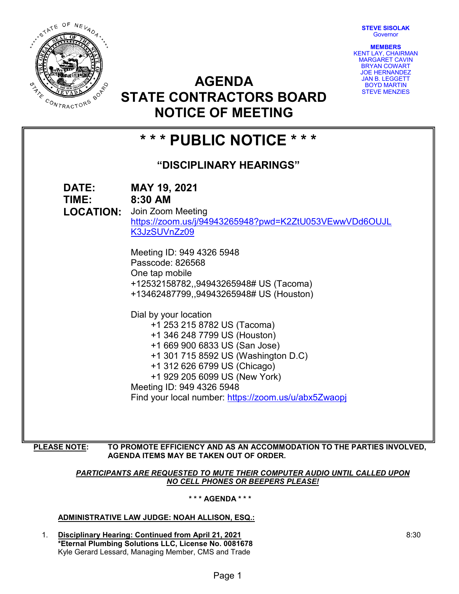**STEVE SISOLAK Governor** 

**MEMBERS**



KENT LAY, CHAIRMAN MARGARET CAVIN BRYAN COWART JOE HERNANDEZ JAN B. LEGGETT BOYD MARTIN STEVE MENZIES

# **AGENDA STATE CONTRACTORS BOARD NOTICE OF MEETING**

| *** PUBLIC NOTICE ***   |                                                                                                                                                                                                                                                                                                                                                                                                                                                                                                                                                                                                            |
|-------------------------|------------------------------------------------------------------------------------------------------------------------------------------------------------------------------------------------------------------------------------------------------------------------------------------------------------------------------------------------------------------------------------------------------------------------------------------------------------------------------------------------------------------------------------------------------------------------------------------------------------|
| "DISCIPLINARY HEARINGS" |                                                                                                                                                                                                                                                                                                                                                                                                                                                                                                                                                                                                            |
| DATE:<br>TIME: 8:30 AM  | MAY 19, 2021<br><b>LOCATION:</b> Join Zoom Meeting<br>https://zoom.us/j/94943265948?pwd=K2ZtU053VEwwVDd6OUJL<br>K3JzSUVnZz09<br>Meeting ID: 949 4326 5948<br>Passcode: 826568<br>One tap mobile<br>+12532158782,,94943265948# US (Tacoma)<br>+13462487799,,94943265948# US (Houston)<br>Dial by your location<br>+1 253 215 8782 US (Tacoma)<br>+1 346 248 7799 US (Houston)<br>+1 669 900 6833 US (San Jose)<br>+1 301 715 8592 US (Washington D.C)<br>+1 312 626 6799 US (Chicago)<br>+1 929 205 6099 US (New York)<br>Meeting ID: 949 4326 5948<br>Find your local number: https://zoom.us/u/abx5Zwaopj |
|                         |                                                                                                                                                                                                                                                                                                                                                                                                                                                                                                                                                                                                            |

**PLEASE NOTE: TO PROMOTE EFFICIENCY AND AS AN ACCOMMODATION TO THE PARTIES INVOLVED, AGENDA ITEMS MAY BE TAKEN OUT OF ORDER.**

## *PARTICIPANTS ARE REQUESTED TO MUTE THEIR COMPUTER AUDIO UNTIL CALLED UPON NO CELL PHONES OR BEEPERS PLEASE!*

# **\* \* \* AGENDA \* \* \***

# **ADMINISTRATIVE LAW JUDGE: NOAH ALLISON, ESQ.:**

1. **Disciplinary Hearing: Continued from April 21, 2021 \*Eternal Plumbing Solutions LLC, License No. 0081678** Kyle Gerard Lessard, Managing Member, CMS and Trade

8:30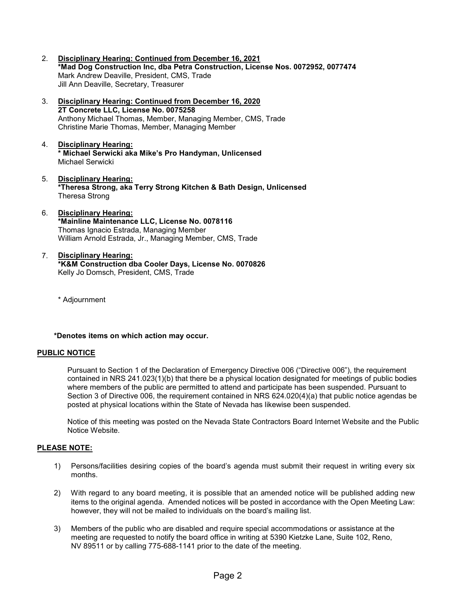- 2. **Disciplinary Hearing: Continued from December 16, 2021 \*Mad Dog Construction Inc, dba Petra Construction, License Nos. 0072952, 0077474** Mark Andrew Deaville, President, CMS, Trade Jill Ann Deaville, Secretary, Treasurer
- 3. **Disciplinary Hearing: Continued from December 16, 2020 2T Concrete LLC, License No. 0075258** Anthony Michael Thomas, Member, Managing Member, CMS, Trade Christine Marie Thomas, Member, Managing Member
- 4. **Disciplinary Hearing: \* Michael Serwicki aka Mike's Pro Handyman, Unlicensed** Michael Serwicki
- 5. **Disciplinary Hearing: \*Theresa Strong, aka Terry Strong Kitchen & Bath Design, Unlicensed** Theresa Strong
- 6. **Disciplinary Hearing: \*Mainline Maintenance LLC, License No. 0078116** Thomas Ignacio Estrada, Managing Member William Arnold Estrada, Jr., Managing Member, CMS, Trade
- 7. **Disciplinary Hearing: \*K&M Construction dba Cooler Days, License No. 0070826** Kelly Jo Domsch, President, CMS, Trade

\* Adjournment

**\*Denotes items on which action may occur.**

## **PUBLIC NOTICE**

Pursuant to Section 1 of the Declaration of Emergency Directive 006 ("Directive 006"), the requirement contained in NRS 241.023(1)(b) that there be a physical location designated for meetings of public bodies where members of the public are permitted to attend and participate has been suspended. Pursuant to Section 3 of Directive 006, the requirement contained in NRS 624.020(4)(a) that public notice agendas be posted at physical locations within the State of Nevada has likewise been suspended.

Notice of this meeting was posted on the Nevada State Contractors Board Internet Website and the Public Notice Website.

## **PLEASE NOTE:**

- 1) Persons/facilities desiring copies of the board's agenda must submit their request in writing every six months.
- 2) With regard to any board meeting, it is possible that an amended notice will be published adding new items to the original agenda. Amended notices will be posted in accordance with the Open Meeting Law: however, they will not be mailed to individuals on the board's mailing list.
- 3) Members of the public who are disabled and require special accommodations or assistance at the meeting are requested to notify the board office in writing at 5390 Kietzke Lane, Suite 102, Reno, NV 89511 or by calling 775-688-1141 prior to the date of the meeting.